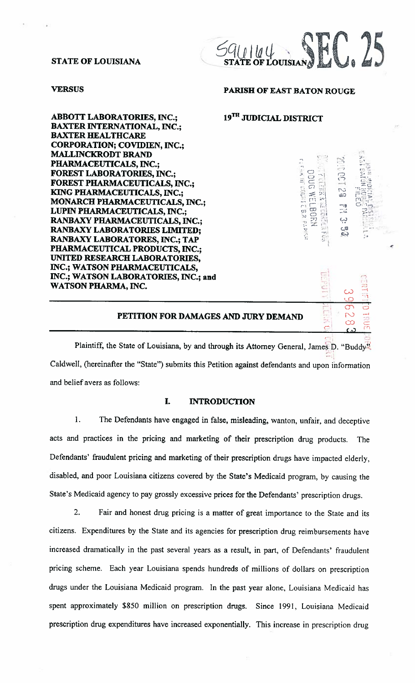#### STATE OF LOUISIANA



ABBOTT LABORATORIES, INC.; 19<sup>TH</sup> JUDICIAL DISTRICT BAXTER INTERNATIONAL, INC.; BAXTER HEALTHCARE CORPORATION; COVIDIEN, INC.; MALLINCKRODT BRAND PHARMACEUTICALS, INC.; FOREST LABORATORIES, INC.; FOREST PHARMACEUTICALS, INC.; KING PHARMACEUTICALS, INC.; MONARCH PHARMACEUTICALS, INC.; LUPIN PHARMACEUTICALS, INC.; RANBAXY PHARMACEUTICALS, INC.; RANBAXY LABORATORIES LIMITED; RANBAXY LABORATORES, INC.; TAP PHARMACEUTICAL PRODUCTS, INC.; UNITED RESEARCH LABORATORIES, INC.; WATSON PHARMACEUTICALS, INC.; WATSON LABORATORIES, INC.; and WATSON PHARMA, INC.

# **VERSUS PARISH OF EAST BATON ROUGE**

**oinci**:  $\sim$   $C$ : C.  $\mathsf{f}^{\pi}$  $\mathbb{C}$ 

-1\_I

~1~

,

t'j

(.3

-, <sup>C</sup> CD — C)

> rs<br>Fr n 3,2<br>0.15 -o

 $\omega$   $\in$ 

# Plaintiff, the State of Louisiana, by and through its Attorney General, James D. "Buddy" CaIdwell, (hereinafter the "State") submits this Petition against defendants and upon information and belief avers as follows:  $\cup$  $\frac{6}{6}$ PETITION FOR DAMAGES AND JURY DEMAND .<br>တ ခ C— çr~

# I. INTRODUCTION

1. The Defendants have engaged in false, misleading, wanton, unfair, and deceptive acts and practices in the pricing and marketing of their prescription drug products. The Defendants' fraudulent pricing and marketing of their prescription drugs have impacted elderly, disabled, and poor Louisiana citizens covered by the State's Medicaid program, by causing the State's Medicaid agency to pay grossly excessive prices for the Defendants' prescription drugs.

2. Fair and honest drug pricing is a matter of great importance to the State and its citizens. Expenditures by the State and its agencies for prescription drug reimbursements have increased dramatically in the past several years as <sup>a</sup> result, in part, of Defendants' fraudulent pricing scheme. Each year Louisiana spends hundreds of millions of dollars on prescription drugs under the Louisiana Medicaid program. In the past year alone, Louisiana Medicaid has spent approximately \$850 million on prescription drugs. Since 1991, Louisiana Medicaid prescription drug expenditures have increased exponentially. This increase in prescription drug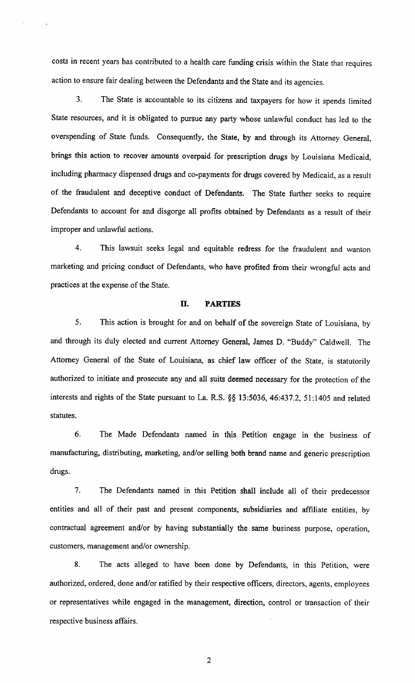costs in recent years has contributed to a health care funding crisis within the State that requires action to ensure fair dealing between the Defendants and the State and its agencies.

3. The State is accountable to its citizens and taxpayers for how it spends limited State resources, and it is obligated to pursue any party whose unlawful conduct has led to the overspending of State funds. Consequently, the State, by and through its Attorney General, brings this action to recover amounts overpaid for prescription drugs by Louisiana Medicaid, including pharmacy dispensed drugs and co-payments for drugs covered by Medicaid, as a result of the fraudulent and deceptive conduct of Defendants. The State further seeks to require Defendants to account for and disgorge all profits obtained by Defendants as a result of their improper and unlawful actions.

4. This lawsuit seeks legal and equitable redress for the fraudulent and wanton marketing and pricing conduct of Defendants, who have profited from their wrongful acts and practices at the expense of the State.

# II. PARTIES

5. This action is brought for and on behalf of the sovereign State of Louisiana, by and through its duly elected and current Attorney General, James D. "Buddy" Caldwell. The Attorney General of the State of Louisiana, as chief law officer of the State, is statutorily authorized to initiate and prosecute any and all suits deemed necessary for the protection of the interests and rights of the State pursuant to La. R.S. §§ 13:5036, 46:437.2, 51:1405 and related statutes.

6. The Made Defendants named in this Petition engage in the business of manufacturing, distributing, marketing, and/or selling both brand name and generic prescription drugs.

7. The Defendants named in this Petition shall include all of their predecessor entities and all of their past and present components, subsidiaries and affiliate entities, by contractual agreement and/or by having substantially the same business purpose, operation, customers, management and/or ownership.

8. The acts alleged to have been done by Defendants, in this Petition, were authorized, ordered, done and/or ratified by their respective officers, directors, agents, employees or representatives while engaged in the management, direction, control or transaction of their respective business affairs.

 $\overline{2}$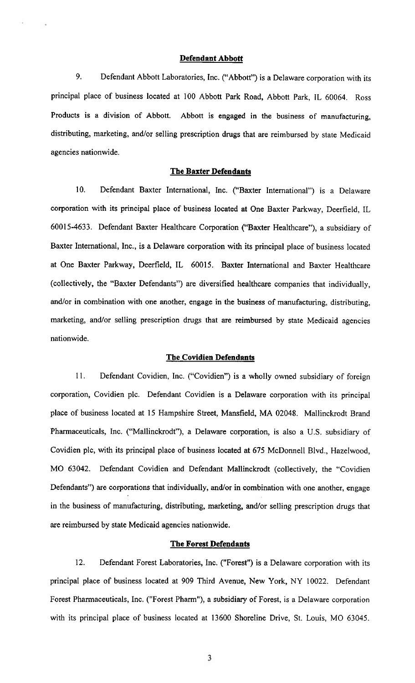# Defendant Abbott

9. Defendant Abbott Laboratories, Inc. ("Abbott") is <sup>a</sup> Delaware corporation with its principal place of business located at 100 Abbott Park Road, Abbott Park, IL 60064. Ross Products is <sup>a</sup> division of Abbott. Abbott is engaged in the business of manufacturing, distributing, marketing, and/or selling prescription drugs that are reimbursed by state Medicaid agencies nationwide.

#### The Baxter Defendants

10. Defendant Baxter International, Inc. ("Baxter International") is a Delaware corporation with its principal place of business located at One Baxter Parkway, Deerfield, IL 60015-4633. Defendant Baxter Healthcare Corporation ("Baxter Healthcare"), <sup>a</sup> subsidiary of Baxter International, Inc., is a Delaware corporation with its principal place of business located at One Baxter Parkway, Deerfield, IL 60015. Baxter International and Baxter Healthcare (collectively, the "Baxter Defendants") are diversified healthcare companies that individually, and/or in combination with one another, engage in the business of manufacturing, distributing, marketing, and/or selling prescription drugs that are reimbursed by state Medicaid agencies nationwide.

#### The Covidien Defendants

II. Defendant Covidien, Inc. ("Covidien") is <sup>a</sup> wholly owned subsidiary of foreign corporation, Covidien plc. Defendant Covidien is a Delaware corporation with its principal place of business located at <sup>15</sup> Hampshire Street, Mansfield, MA 02048. Mallinckrodt Brand Pharmaceuticals, Inc. ("Mallinckrodt"), <sup>a</sup> Delaware corporation, is also <sup>a</sup> U.S. subsidiary of Covidien plc, with its principal place of business located at 675 McDonnell Blvd., Hazelwood, MO 63042. Defendant Covidien and Defendant Mallinckrodt (collectively, the "Covidien Defendants") are corporations that individually, and/or in combination with one another, engage in the business of manufacturing, distributing, marketing, and/or selling prescription drugs that are reimbursed by state Medicaid agencies nationwide.

#### The Forest Defendants

12. Defendant Forest Laboratories, Inc. ("Forest") is a Delaware corporation with its principal place of business located at 909 Third Avenue, New York, NY 10022. Defendant Forest Pharmaceuticals, Inc. ("Forest Pharm"), <sup>a</sup> subsidiary of Forest, is <sup>a</sup> Delaware corporation with its principal place of business located at 13600 Shoreline Drive, St. Louis, MO 63045.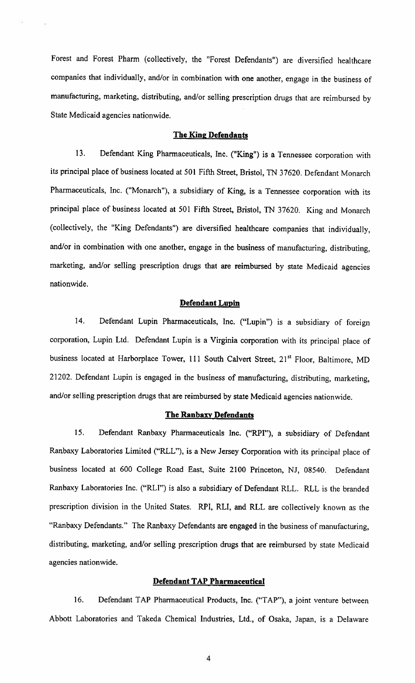Forest and Forest Pharm (collectively, the "Forest Defendants") are diversified healthcare companies that individually, and/or in combination with one another, engage in the business of manufacturing, marketing, distributing, and/or selling prescription drugs that are reimbursed by State Medicaid agencies nationwide.

# The King Defendants

13. Defendant King Pharmaceuticals, Inc. ("King") is <sup>a</sup> Tennessee corporation with its principal place of business located at 501 Fifth Street, Bristol, TN 37620. Defendant Monarch Pharmaceuticals, Inc. ("Monarch"), a subsidiary of King, is a Tennessee corporation with its principal place of business located at 501 Fifth Street, Bristol, TN 37620. King and Monarch (collectively, the "King Defendants') are diversified healthcare companies that individually, and/or in combination with one another, engage in the business of manufacturing, distributing, marketing, and/or selling prescription drugs that are reimbursed by state Medicaid agencies nationwide.

#### Defendant Lupin

14. Defendant Lupin Pharmaceuticals, Inc. ("Lupin") is <sup>a</sup> subsidiary of foreign corporation, Lupin Ltd. Defendant Lupin is a Virginia corporation with its principal place of business located at Harborplace Tower, 111 South Calvert Street, 21<sup>st</sup> Floor, Baltimore, MD 21202. Defendant Lupin is engaged in the business of manufacturing, distributing, marketing, and/or selling prescription drugs that are reimbursed by state Medicaid agencies nationwide.

# The Ranbaxy Defendants

15. Defendant Ranbaxy Pharmaceuticals Inc. ("RPI"), <sup>a</sup> subsidiary of Defendant Ranbaxy Laboratories Limited ("RLL"), is <sup>a</sup> New Jersey Corporation with its principal place of business located at 600 College Road East, Suite 2100 Princeton, NJ, 08540. Defendant Ranbaxy Laboratories Inc. ("RLI") is also <sup>a</sup> subsidiary of Defendant RLL. RLL is the branded prescription division in the United States. RPI, RU, and RLL are collectively known as the "Ranbaxy Defendants." The Ranbaxy Defendants are engaged in the business of manufacturing, distributing, marketing, and/or selling prescription drugs that are reimbursed by state Medicaid agencies nationwide.

# Defendant TAP Pharmaceutical

16. Defendant TAP Pharmaceutical Products, Inc. ("TAP"), <sup>a</sup> joint venture between Abbott Laboratories and Takeda Chemical Industries, Ltd., of Osaka, Japan, is <sup>a</sup> Delaware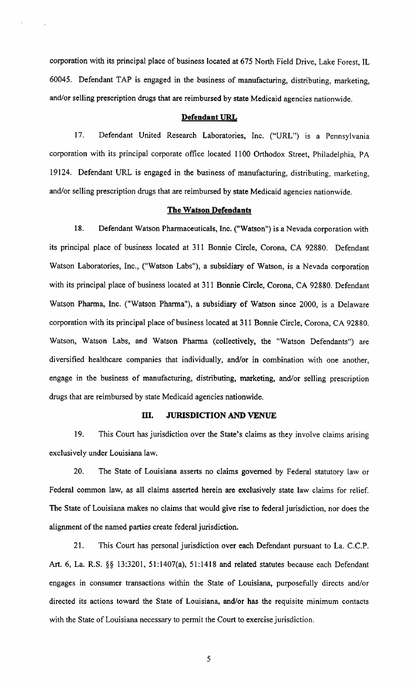corporation with its principal place of business located at 675 North Field Drive, Lake Forest, IL 60045. Defendant TAP is engaged in the business of manufacturing, distributing, marketing, and/or selling prescription drugs that are reimbursed by state Medicaid agencies nationwide.

#### Defendant URL

17. Defendant United Research Laboratories, Inc. ("URL") is <sup>a</sup> Pennsylvania corporation with its principal corporate office located 1100 Orthodox Street, Philadelphia, PA 19124. Defendant URL is engaged in the business of manufacturing, distributing, marketing, and/or selling prescription drugs that are reimbursed by state Medicaid agencies nationwide.

#### The Watson Defendants

18. Defendant Watson Pharmaceuticals, Inc. ("Watson") is a Nevada corporation with its principal place of business located at 311 Bonnie Circle, Corona, CA 92880. Defendant Watson Laboratories, Inc., ("Watson Labs"), <sup>a</sup> subsidiary of Watson, is <sup>a</sup> Nevada corporation with its principal place of business located at 311 Bonnie Circle, Corona, CA 92880. Defendant Watson Pharma, Inc. ("Watson Pharma"), <sup>a</sup> subsidiary of Watson since 2000, is <sup>a</sup> Delaware corporation with its principal place of business located at 311 Bonnie Circle, Corona, CA 92880. Watson, Watson Labs, and Watson Pharma (collectively, the "Watson Defendants") are diversified healthcare companies that individually, and/or in combination with one another, engage in the business of manufacturing, distributing, marketing, and/or selling prescription drugs that are reimbursed by state Medicaid agencies nationwide.

# III. JURISDICTION AND VENUE

19. This Court has jurisdiction over the State's claims as they involve claims arising exclusively under Louisiana law.

20. The State of Louisiana asserts no claims governed by Federal statutory law or Federal common law, as all claims asserted herein are exclusively state law claims for relief. The State of Louisiana makes no claims that would give rise to federal jurisdiction, nor does the alignment of the named parties create federal jurisdiction.

21. This Court has personal jurisdiction over each Defendant pursuant to La. C.C.P. Art. 6, La. R.S. §§ 13:3201, 51:1407(a), 51:1418 and related statutes because each Defendant engages in consumer transactions within the State of Louisiana, purposefully directs and/or directed its actions toward the State of Louisiana, and/or has the requisite minimum contacts with the State of Louisiana necessary to permit the Court to exercise jurisdiction.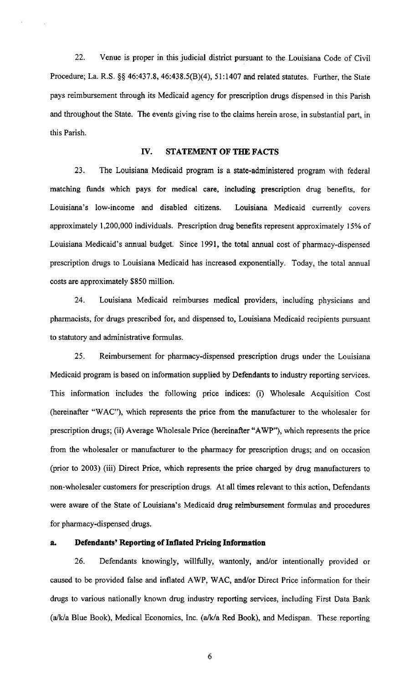22. Venue is proper in this judicial district pursuant to the Louisiana Code of Civil Procedure; La. R.S.  $\S\S 46:437.8$ ,  $46:438.5(B)(4)$ ,  $51:1407$  and related statutes. Further, the State pays reimbursement through its Medicaid agency for prescription drugs dispensed in this Parish and throughout the State. The events giving rise to the claims herein arose, in substantial part, in this Parish.

# IV. STATEMENT OF THE FACTS

23. The Louisiana Medicaid program is a state-administered program with federal matching funds which pays for medical care, including prescription drug benefits, for Louisiana's low-income and disabled citizens. Louisiana Medicaid currently covers approximately 1,200,000 individuals. Prescription drug benefits represent approximately 15% of Louisiana Medicaid's annual budget. Since 1991, the total annual cost of pharmacy-dispensed prescription drugs to Louisiana Medicaid has increased exponentially. Today, the total annual costs are approximately \$850 million.

24. Louisiana Medicaid reimburses medical providers, including physicians and pharmacists, for drugs prescribed for, and dispensed to, Louisiana Medicaid recipients pursuant to statutory and administrative formulas.

25. Reimbursement for pharmacy-dispensed prescription drugs under the Louisiana Medicaid program is based on information supplied by Defendants to industry reporting services. This information includes the following price indices: (i) Wholesale Acquisition Cost (hereinafter "WAC"), which represents the price from the manufacturer to the wholesaler for prescription drugs; (ii) Average Wholesale Price (hereinafter "AWP"), which represents the price from the wholesaler or manufacturer to the pharmacy for prescription drugs; and on occasion (prior to 2003) (iii) Direct Price, which represents the price charged by drug manufacturers to non-wholesaler customers for prescription drugs. At all times relevant to this action, Defendants were aware of the State of Louisiana's Medicaid drug reimbursement formulas and procedures for pharmacy-dispensed drugs.

#### a. Defendants' Reporting of Inflated Pricing Information

26. Defendants knowingly, willfully, wantonly, and/or intentionally provided or caused to be provided false and inflated AWP, WAC, and/or Direct Price information for their drugs to various nationally known drug industry reporting services, including First Data Bank  $(a/k/a)$  Blue Book), Medical Economics, Inc.  $(a/k/a)$  Red Book), and Medispan. These reporting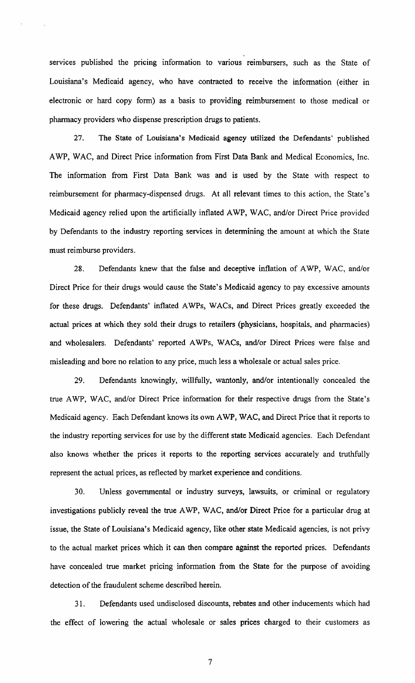services published the pricing information to various reimbursers, such as the State of Louisiana's Medicaid agency, who have contracted to receive the information (either in electronic or hard copy form) as a basis to providing reimbursement to those medical or pharmacy providers who dispense prescription drugs to patients.

27. The State of Louisiana's Medicaid agency utilized the Defendants' published AWP, WAC, and Direct Price information from First Data Bank and Medical Economics, Inc. The information from First Data Bank was and is used by the State with respect to reimbursement for pharmacy-dispensed drugs. At all relevant times to this action, the State's Medicaid agency relied upon the artificially inflated AWP, WAC, and/or Direct Price provided by Defendants to the industry reporting services in determining the amount at which the State must reimburse providers.

28. Defendants knew that the false and deceptive inflation of AWP, WAC, and/or Direct Price for their drugs would cause the State's Medicaid agency to pay excessive amounts for these drugs. Defendants' inflated AWPs, WACs, and Direct Prices greatly exceeded the actual prices at which they sold their drugs to retailers (physicians, hospitals, and pharmacies) and wholesalers. Defendants' reported AWPs, WACs, and/or Direct Prices were false and misleading and bore no relation to any price, much less a wholesale or actual sales price.

29. Defendants knowingly, willfully, wantonly, and/or intentionally concealed the true AWP, WAC, and/or Direct Price information for their respective drugs from the State's Medicaid agency. Each Defendant knows its own AWP, WAC, and Direct Price that it reports to the industry reporting services for use by the different state Medicaid agencies. Each Defendant also knows whether the prices it reports to the reporting services accurately and truthfully represent the actual prices, as reflected by market experience and conditions.

30. Unless governmental or industry surveys, lawsuits, or criminal or regulatory investigations publicly reveal the true AWP, WAC, and/or Direct Price for a particular drug at issue, the State of Louisiana's Medicaid agency, like other state Medicaid agencies, is not privy to the actual market prices which it can then compare against the reported prices. Defendants have concealed true market pricing information from the State for the purpose of avoiding detection of the fraudulent scheme described herein.

31. Defendants used undisclosed discounts, rebates and other inducements which had the effect of lowering the actual wholesale or sales prices charged to their customers as

 $\overline{\phantom{a}}$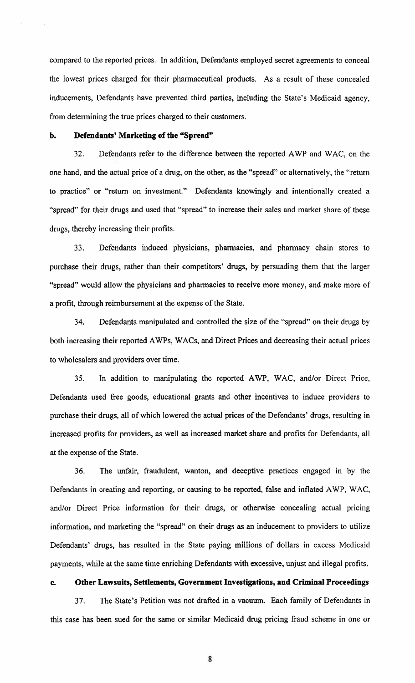compared to the reported prices. In addition, Defendants employed secret agreements to conceal the lowest prices charged for their pharmaceutical products. As a result of these concealed inducements, Defendants have prevented third parties, including the State's Medicaid agency, from determining the true prices charged to their customers.

# b. Defendants' Marketing of the "Spread"

32. Defendants refer to the difference between the reported AWP and WAC, on the one hand, and the actual price of a drug, on the other, as the "spread" or alternatively, the "return to practice" or "return on investment." Defendants knowingly and intentionally created <sup>a</sup> "spread" for their drugs and used that "spread" to increase their sales and market share of these drugs, thereby increasing their profits.

33. Defendants induced physicians, pharmacies, and pharmacy chain stores to purchase their drugs, rather than their competitors' drugs, by persuading them that the larger "spread" would allow the physicians and pharmacies to receive more money, and make more of a profit, through reimbursement at the expense of the State.

34. Defendants manipulated and controlled the size of the "spread" on their drugs by both increasing their reported AWPs, WACs, and Direct Prices and decreasing their actual prices to wholesalers and providers over time.

35. In addition to manipulating the reported AWP, WAC, and/or Direct Price, Defendants used free goods, educational grants and other incentives to induce providers to purchase their drugs, all of which lowered the actual prices of the Defendants' drugs, resulting in increased profits for providers, as well as increased market share and profits for Defendants, all at the expense of the State.

36. The unfair, fraudulent, wanton, and deceptive practices engaged in by the Defendants in creating and reporting, or causing to be reported, false and inflated AWP, WAC, and/or Direct Price information for their drugs, or otherwise concealing actual pricing information, and marketing the "spread" on their drugs as an inducement to providers to utilize Defendants' drugs, has resulted in the State paying millions of dollars in excess Medicaid payments, while at the same time enriching Defendants with excessive, unjust and illegal profits.

#### c. Other Lawsuits, Settlements, Government Investigations, and Criminal Proceedings

37. The State's Petition was not drafted in <sup>a</sup> vacuum. Each family of Defendants in this case has been sued for the same or similar Medicaid drug pricing fraud scheme in one or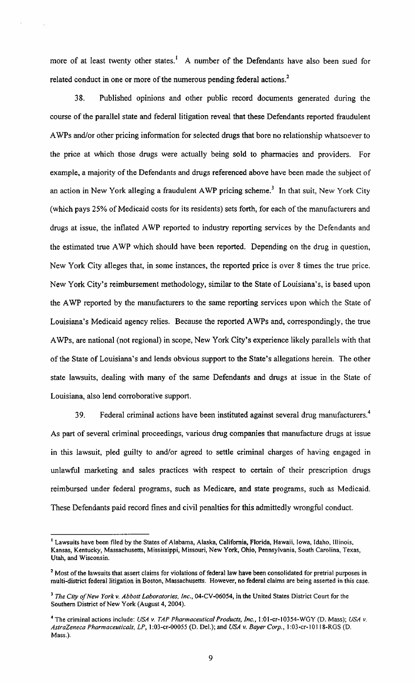more of at least twenty other states.<sup>1</sup> A number of the Defendants have also been sued for related conduct in one or more of the numerous pending federal actions. $<sup>2</sup>$ </sup>

38. Published opinions and other public record documents generated during the course of the parallel state and federal litigation reveal that these Defendants reported fraudulent AWPs and/or other pricing information for selected drugs that bore no relationship whatsoever to the price at which those drugs were actually being sold to pharmacies and providers. For example, <sup>a</sup> majority of the Defendants and drugs referenced above have been made the subject of an action in New York alleging a fraudulent AWP pricing scheme.<sup>3</sup> In that suit, New York City (which pays 25% of Medicaid costs for its residents) sets forth, for each of the manufacturers and drugs at issue, the inflated AWP reported to industry reporting services by the Defendants and the estimated true AWP which should have been reported. Depending on the drug in question, New York City alleges that, in some instances, the reported price is over <sup>8</sup> times the true price. New York City's reimbursement methodology, similar to the State of Louisiana's, is based upon the AWP reported by the manufacturers to the same reporting services upon which the State of Louisiana's Medicaid agency relies. Because the reported AWPs and, correspondingly, the true AWPs, are national (not regional) in scope, New York City's experience likely parallels with that of the State of Louisiana's and lends obvious support to the State's allegations herein. The other state lawsuits, dealing with many of the same Defendants and drugs at issue in the State of Louisiana, also lend corroborative support.

39. Federal criminal actions have been instituted against several drug manufacturers.<sup>4</sup> As part of several criminal proceedings, various drug companies that manufacture drugs at issue in this lawsuit, pled guilty to and/or agreed to settle criminal charges of having engaged in unlawful marketing and sales practices with respect to certain of their prescription drugs reimbursed under federal programs, such as Medicare, and state programs, such as Medicaid. These Defendants paid record fines and civil penalties for this admittedly wrongful conduct.

Lawsuits have been filed by the States of Alabama, Alaska, California, Florida, Hawaii, Iowa, Idaho, Illinois, Kansas, Kentucky, Massachusetts, Mississippi, Missouri, New York, Ohio, Pennsylvania, South Carolina, Texas, Utah, and Wisconsin.

<sup>&</sup>lt;sup>2</sup> Most of the lawsuits that assert claims for violations of federal law have been consolidated for pretrial purposes in multi-district federal litigation in Boston, Massachusetts. However, no federal claims are being asserted in this case.

 $3$  The City of New York v. Abbott Laboratories, Inc., 04-CV-06054, in the United States District Court for the Southern District of New York (August 4, 2004).

<sup>&</sup>lt;sup>4</sup> The criminal actions include: USA v. TAP Pharmaceutical Products, Inc., 1:01-cr-10354-WGY (D. Mass); USA v. AstraZeneca Pharmaceuticals, LP, 1:03-cr-00055 (D. Del.); and USA v. Bayer Corp., 1:03-cr-10118-RGS (D. Mass.).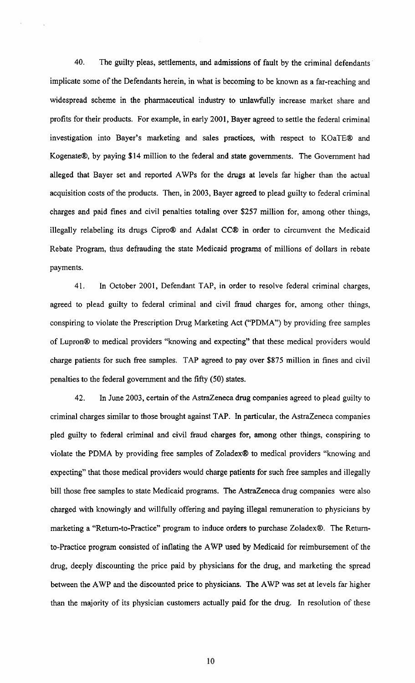40. The guilty pleas, settlements, and admissions of fault by the criminal defendants implicate some of the Defendants herein, in what is becoming to be known as <sup>a</sup> far-reaching and widespread scheme in the pharmaceutical industry to unlawfully increase market share and profits for their products. For example, in early 2001, Bayer agreed to settle the federal criminal investigation into Bayer's marketing and sales practices, with respect to KOaTE® and Kogenate®, by paying \$14 million to the federal and state governments. The Government had alleged that Bayer set and reported AWPs for the drugs at levels far higher than the actual acquisition costs of the products. Then, in 2003, Bayer agreed to plead guilty to federal criminal charges and paid fines and civil penalties totaling over \$257 million for, among other things, illegally relabeling its drugs Cipro® and Adalat CC® in order to circumvent the Medicaid Rebate Program, thus defrauding the state Medicaid programs of millions of dollars in rebate payments.

41. In October 2001, Defendant TAP, in order to resolve federal criminal charges, agreed to plead guilty to federal criminal and civil fraud charges for, among other things, conspiring to violate the Prescription Drug Marketing Act ("PDMA") by providing free samples of Lupron® to medical providers "knowing and expecting" that these medical providers would charge patients for such free samples. TAP agreed to pay over \$875 million in fines and civil penalties to the federal government and the fifty (50) states.

42. In June 2003, certain of the AstraZeneca drug companies agreed to plead guilty to criminal charges similar to those brought against TAP. In particular, the AstraZeneca companies pled guilty to federal criminal and civil fraud charges for, among other things, conspiring to violate the PDMA by providing free samples of Zoladex® to medical providers "knowing and expecting" that those medical providers would charge patients for such free samples and illegally bill those free samples to state Medicaid programs. The AstraZeneca drug companies were also charged with knowingly and willfully offering and paying illegal remuneration to physicians by marketing a "Return-to-Practice" program to induce orders to purchase Zoladex®. The Returnto-Practice program consisted of inflating the AWP used by Medicaid for reimbursement of the drug, deeply discounting the price paid by physicians for the drug, and marketing the spread between the AWP and the discounted price to physicians. The AWP was set at levels far higher than the majority of its physician customers actually paid for the drug. In resolution of these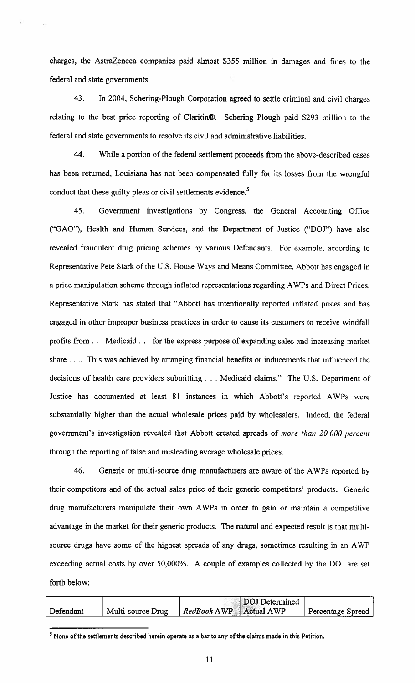charges, the AstraZeneca companies paid almost \$355 million in damages and fines to the federal and state governments.

43. In 2004, Schering-Plough Corporation agreed to settle criminal and civil charges relating to the best price reporting of Claritin®. Schering Plough paid \$293 million to the federal and state governments to resolve its civil and administrative liabilities.

44. While a portion of the federal settlement proceeds from the above-described cases has been returned, Louisiana has not been compensated fully for its losses from the wrongful conduct that these guilty pleas or civil settlements evidence.<sup>5</sup>

45. Government investigations by Congress, the General Accounting Office ("GAO"), Health and Human Services, and the Department of Justice ("DOJ") have also revealed fraudulent drug pricing schemes by various Defendants. For example, according to Representative Pete Stark of the U.S. Rouse Ways and Means Committee, Abbott has engaged in a price manipulation scheme through inflated representations regarding AWPs and Direct Prices. Representative Stark has stated that "Abbott has intentionally reported inflated prices and has engaged in other improper business practices in order to cause its customers to receive windfall profits from . . . Medicaid . . . for the express purpose of expanding sales and increasing market share  $\ldots$  This was achieved by arranging financial benefits or inducements that influenced the decisions of health care providers submitting . . . Medicaid claims." The U.S. Department of Justice has documented at least 81 instances in which Abbott's reported AWPs were substantially higher than the actual wholesale prices paid by wholesalers. Indeed, the federal government's investigation revealed that Abbott created spreads of more than 20,000 percent through the reporting of false and misleading average wholesale prices.

46. Generic or multi-source drug manufacturers are aware of the AWPs reported by their competitors and of the actual sales price of their generic competitors' products. Generic drug manufacturers manipulate their own AWPs in order to gain or maintain a competitive advantage in the market for their generic products. The natural and expected result is that multisource drugs have some of the highest spreads of any drugs, sometimes resulting in an AWP exceeding actual costs by over 50,000%. A couple of examples collected by the DOJ are set forth below:

|           |                   | DOJ Determined           |                   |
|-----------|-------------------|--------------------------|-------------------|
| Defendant | Multi-source Drug | RedBook AWP   Actual AWP | Percentage Spread |
|           |                   |                          |                   |

 $<sup>5</sup>$  None of the settlements described herein operate as a bar to any of the claims made in this Petition.</sup>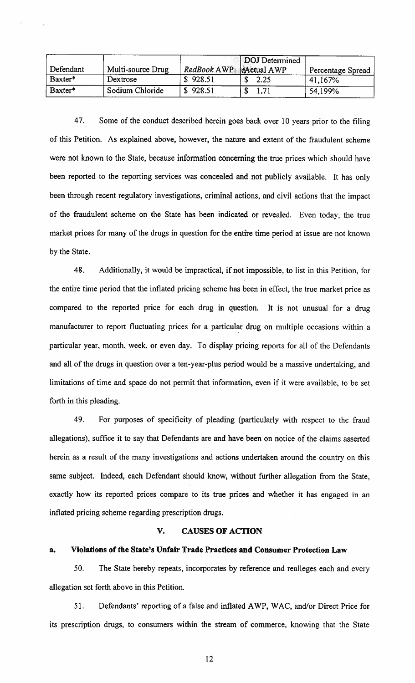|           |                   |                               | DOJ Determined |                   |
|-----------|-------------------|-------------------------------|----------------|-------------------|
| Defendant | Multi-source Drug | RedBook AWP <b>Actual AWP</b> |                | Percentage Spread |
| Baxter*   | Dextrose          | \$928.51                      | 2.25           | 41,167%           |
| Baxter*   | Sodium Chloride   | \$928.51                      | 1.71           | 54,199%           |

47. Some of the conduct described herein goes back over 10 years prior to the filing of this Petition. As explained above, however, the nature and extent of the fraudulent scheme were not known to the State, because information concerning the true prices which should have been reported to the reporting services was concealed and not publicly available. It has only been through recent regulatory investigations, criminal actions, and civil actions that the impact of the fraudulent scheme on the State has been indicated or revealed. Even today, the true market prices for many of the drugs in question for the entfre time period at issue are not known by the State.

48. Additionally, it would be impractical, if not impossible, to list in this Petition, for the entire time period that the inflated pricing scheme has been in effect, the true market price as compared to the reported price for each drug in question. It is not unusual for a drug manufacturer to report fluctuating prices for a particular drug on multiple occasions within a particular year, month, week, or even day. To display pricing reports for all of the Defendants and all of the drugs in question over <sup>a</sup> ten-year-plus period would be <sup>a</sup> massive undertaking, and limitations of time and space do not permit that information, even if it were available, to be set forth in this pleading.

49. For purposes of specificity of pleading (particularly with respect to the fraud allegations), suffice it to say that Defendants are and have been on notice of the claims asserted herein as <sup>a</sup> result of the many investigations and actions undertaken around the country on this same subject. Indeed, each Defendant should know, without further allegation from the State, exactly how its reported prices compare to its true prices and whether it has engaged in an inflated pricing scheme regarding prescription drugs.

#### V. CAUSES OF ACTION

#### a. Violations of the State's Unfair Trade Practices and Consumer Protection Law

50. The State hereby repeats, incorporates by reference and realleges each and every allegation set forth above in this Petition.

51. Defendants' reporting of a false and inflated AWP, WAC, and/or Direct Price for its prescription drugs, to consumers within the stream of commerce, knowing that the State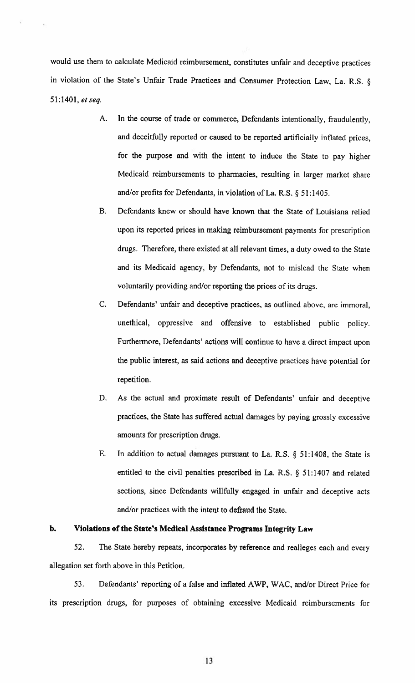would use them to calculate Medicaid reimbursement, constitutes unfair and deceptive practices in violation of the State's Unfair Trade Practices and Consumer Protection Law, La. R.S. § 51:1401, et seq.

- A. In the course of trade or commerce, Defendants intentionally, fraudulently, and deceitfully reported or caused to be reported artificially inflated prices, for the purpose and with the intent to induce the State to pay higher Medicaid reimbursements to pharmacies, resulting in larger market share and/or profits for Defendants, in violation of La. R.S. § 51:1405.
- B. Defendants knew or should have known that the State of Louisiana relied upon its reported prices in making reimbursement payments for prescription drugs. Therefore, there existed at all relevant times, a duty owed to the State and its Medicaid agency, by Defendants, not to mislead the State when voluntarily providing and/or reporting the prices of its drugs.
- C. Defendants' unfair and deceptive practices, as outlined above, are immoral, unethical, oppressive and offensive to established public policy. Furthermore, Defendants' actions will continue to have <sup>a</sup> direct impact upon the public interest, as said actions and deceptive practices have potential for repetition.
- D. As the actual and proximate result of Defendants' unfair and deceptive practices, the State has suffered actual damages by paying grossly excessive amounts for prescription drugs.
- E. In addition to actual damages pursuant to La. R.S. § 51:1408, the State is entitled to the civil penalties prescribed in La. R.S. § 51:1407 and related sections, since Defendants willfully engaged in unfair and deceptive acts and/or practices with the intent to defraud the State.

# b. Violations of the State's Medical Assistance Programs Integrity Law

52. The State hereby repeats, incorporates by reference and realleges each and every allegation set forth above in this Petition.

53. Defendants' reporting of <sup>a</sup> false and inflated AWP, WAC, and/or Direct Price for its prescription drugs, for purposes of obtaining excessive Medicaid reimbursements for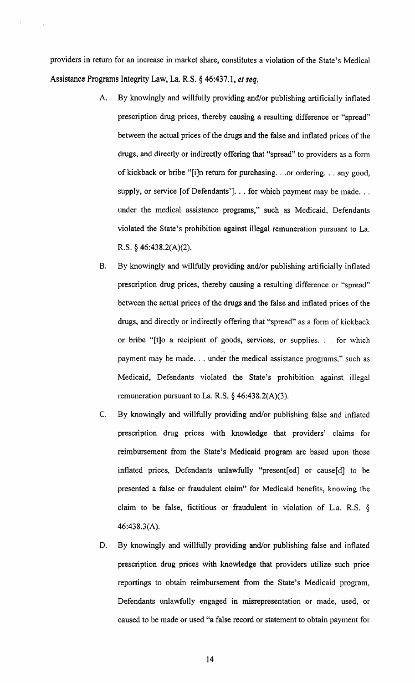providers in return for an increase in market share, constitutes <sup>a</sup> violation of the State's Medical Assistance Programs Integrity Law, La. R.S. § 46:437.1, et seq.

- A. By knowingly and willfully providing and/or publishing artificially inflated prescription drug prices, thereby causing a resulting difference or "spread" between the actual prices of the drugs and the false and inflated prices of the drugs, and directly or indirectly offering that "spread" to providers as a form of kickback or bribe "[i]n return for purchasing. . .or ordering. . . any good, supply, or service [of Defendants']. . . for which payment may be made. . . under the medical assistance programs," such as Medicaid, Defendants violated the State's prohibition against illegal remuneration pursuant to La. R.S. § 46:438.2(A)(2).
- B. By knowingly and willfully providing and/or publishing artificially inflated prescription drug prices, thereby causing a resulting difference or "spread" between the actual prices of the drugs and the false and inflated prices of the drugs, and directly or indirectly offering that "spread" as <sup>a</sup> form of kickback or bribe "[t]o <sup>a</sup> recipient of goods, services, or supplies. . . for which payment may be made. . . under the medical assistance programs," such as Medicaid, Defendants violated the State's prohibition against illegal remuneration pursuant to La. R.S.  $\S$  46:438.2(A)(3).
- C. By knowingly and willfully providing and/or publishing false and inflated prescription drug prices with knowledge that providers' claims for reimbursement from the State's Medicaid program are based upon those inflated prices, Defendants unlawfully "present[ed] or cause[d] to be presented a false or fraudulent claim" for Medicaid benefits, knowing the claim to be false, fictitious or fraudulent in violation of L.a. R.S. § 46:438.3(A).
- D. By knowingly and willfully providing and/or publishing false and inflated prescription drug prices with knowledge that providers utilize such price reportings to obtain reimbursement from the State's Medicaid program, Defendants unlawfully engaged in misrepresentation or made, used, or caused to be made or used "a false record or statement to obtain payment for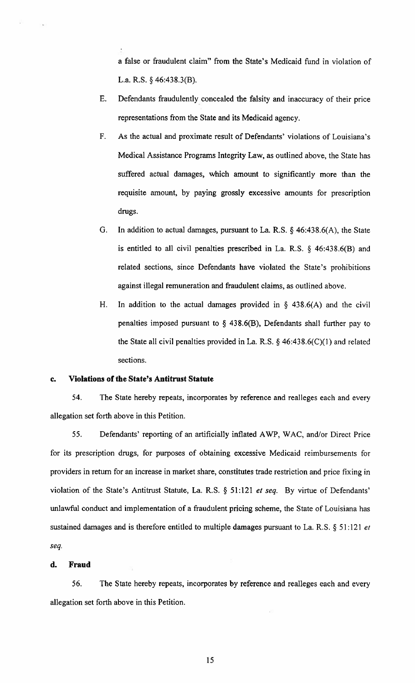a false or fraudulent claim" from the State's Medicaid fund in violation of L.a. R.S. § 46:438.3(B).

- E. Defendants fraudulently concealed the falsity and inaccuracy of their price representations from the State and its Medicaid agency.
- F. As the actual and proximate result of Defendants' violations of Louisiana's Medical Assistance Programs Integrity Law, as outlined above, the State has suffered actual damages, which amount to significantly more than the requisite amount, by paying grossly excessive amounts for prescription drugs.
- G. In addition to actual damages, pursuant to La. R.S. § 46:438.6(A), the State is entitled to all civil penalties prescribed in La. R.S. § 46:438.6(B) and related sections, since Defendants have violated the State's prohibitions against illegal remuneration and fraudulent claims, as outlined above.
- H. In addition to the actual damages provided in  $\S$  438.6(A) and the civil penalties imposed pursuant to  $\S$  438.6(B), Defendants shall further pay to the State all civil penalties provided in La. R.S. § 46:438.6(C)(l) and related sections.

#### c. Violations of the State's Antitrust Statute

54. The State hereby repeats, incorporates by reference and realleges each and every allegation set forth above in this Petition.

55. Defendants' reporting of an artificially inflated AWP, WAC, and/or Direct Price for its prescription drugs, for purposes of obtaining excessive Medicaid reimbursements for providers in return for an increase in market share, constitutes trade restriction and price fixing in violation of the State's Antitrust Statute, La. R.S. § <sup>5</sup> 1:121 et seq. By virtue of Defendants' unlawful conduct and implementation of <sup>a</sup> fraudulent pricing scheme, the State of Louisiana has sustained damages and is therefore entitled to multiple damages pursuant to La. R.S. § 51:121 et seq.

#### d. Fraud

56. The State hereby repeats, incorporates by reference and realleges each and every allegation set forth above in this Petition.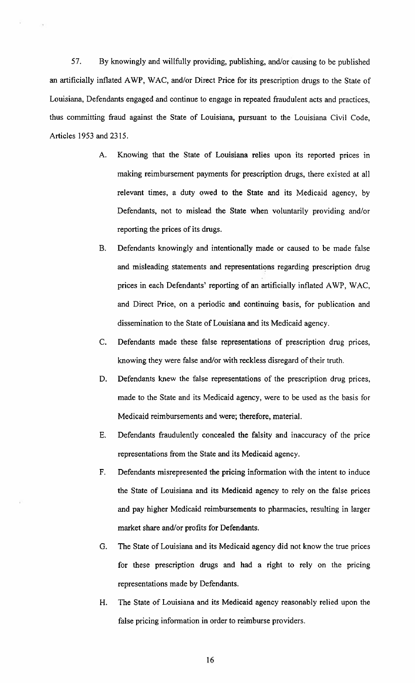57. By knowingly and willfully providing, publishing, and/or causing to be published an artificially inflated AWP, WAC, and/or Direct Price for its prescription drugs to the State of Louisiana, Defendants engaged and continue to engage in repeated fraudulent acts and practices, thus committing fraud against the State of Louisiana, pursuant to the Louisiana Civil Code, Articles 1953 and 2315.

- A. Knowing that the State of Louisiana relies upon its reported prices in making reimbursement payments for prescription drugs, there existed at all relevant times, a duty owed to the State and its Medicaid agency, by Defendants, not to mislead the State when voluntarily providing and/or reporting the prices of its drugs,
- B. Defendants knowingly and intentionally made or caused to be made false and misleading statements and representations regarding prescription drug prices in each Defendants' reporting of an artificially inflated AWP, WAC, and Direct Price, on a periodic and continuing basis, for publication and dissemination to the State of Louisiana and its Medicaid agency.
- C. Defendants made these false representations of prescription drug prices, knowing they were false and/or with reckless disregard of their truth.
- D. Defendants knew the false representations of the prescription drug prices, made to the State and its Medicaid agency, were to be used as the basis for Medicaid reimbursements and were; therefore, material.
- B. Defendants fraudulently concealed the falsity and inaccuracy of the price representations from the State and its Medicaid agency.
- F. Defendants misrepresented the pricing information with the intent to induce the State of Louisiana and its Medicaid agency to rely on the false prices and pay higher Medicaid reimbursements to pharmacies, resulting in larger market share and/or profits for Defendants.
- G. The State of Louisiana and its Medicaid agency did not know the true prices for these prescription drugs and had a right to rely on the pricing representations made by Defendants.
- H. The State of Louisiana and its Medicaid agency reasonably relied upon the false pricing information in order to reimburse providers.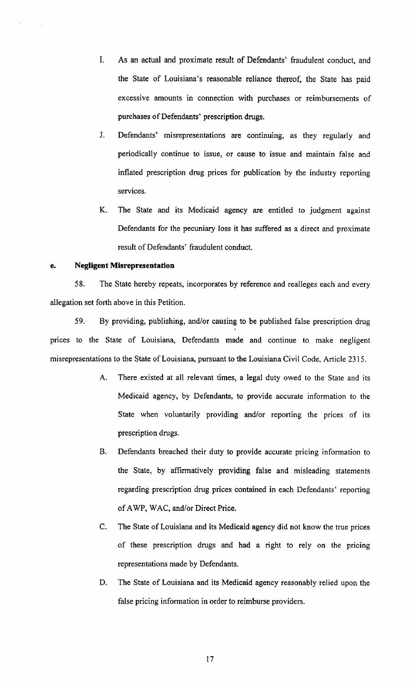- I. As an actual and proximate result of Defendants' fraudulent conduct, and the State of Louisiana's reasonable reliance thereof, the State has paid excessive amounts in connection with purchases or reimbursements of purchases of Defendants' prescription drugs.
- J. Defendants' misrepresentations are continuing, as they regularly and periodically continue to issue, or cause to issue and maintain false and inflated prescription drug prices for publication by the industry reporting services.
- K. The State and its Medicaid agency are entitled to judgment against Defendants for the pecuniary loss it has suffered as a direct and proximate result of Defendants' fraudulent conduct.

#### e. Negligent Misrepresentation

58. The State hereby repeats, incorporates by reference and realleges each and every allegation set forth above in this Petition.

59. By providing, publishing, and/or causing to be published false prescription drug prices to the State of Louisiana, Defendants made and continue to make negligent misrepresentations to the State of Louisiana, pursuant to the Louisiana Civil Code, Article 2315.

- A. There existed at all relevant times, a legal duty owed to the State and its Medicaid agency, by Defendants, to provide accurate information to the State when voluntarily providing and/or reporting the prices of its prescription drugs.
- B. Defendants breached their duty to provide accurate pricing information to the State, by affirmatively providing false and misleading statements regarding prescription drug prices contained in each Defendants' reporting of AWP, WAC, and/or Direct Price.
- C. The State of Louisiana and its Medicaid agency did not know the true prices of these prescription drugs and had a right to rely on the pricing representations made by Defendants.
- D. The State of Louisiana and its Medicaid agency reasonably relied upon the false pricing information in order to reimburse providers.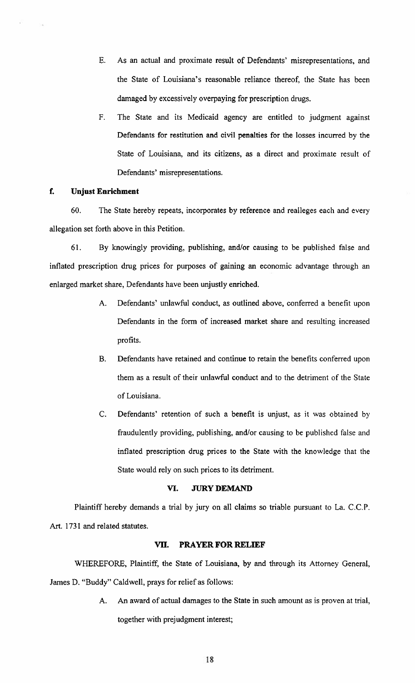- E. As an actual and proximate result of Defendants' misrepresentations, and the State of Louisiana's reasonable reliance thereof, the State has been damaged by excessively overpaying for prescription drugs.
- F. The State and its Medicaid agency are entitled to judgment against Defendants for restitution and civil penalties for the losses incurred by the State of Louisiana, and its citizens, as <sup>a</sup> direct and proximate result of Defendants' misrepresentations.

# f. Unjust Enrichment

60. The State hereby repeats, incorporates by reference and realleges each and every allegation set forth above in this Petition.

61. By knowingly providing, publishing, and/or causing to be published false and inflated prescription drug prices for purposes of gaining an economic advantage through an enlarged market share, Defendants have been unjustly enriched.

- A. Defendants' unlawful conduct, as outlined above, conferred a benefit upon Defendants in the form of increased market share and resulting increased profits.
- B. Defendants have retained and continue to retain the benefits conferred upon them as <sup>a</sup> result of their unlawful conduct and to the detriment of the State of Louisiana.
- C. Defendants' retention of such a benefit is unjust, as it was obtained by fraudulently providing, publishing, and/or causing to be published false and inflated prescription drug prices to the State with the knowledge that the State would rely on such prices to its detriment.

# VI. JURY DEMAND

Plaintiff hereby demands <sup>a</sup> trial by jury on all claims so triable pursuant to La. C.C.P. Art. 1731 and related statutes.

#### VII. PRAYER FOR RELIEF

WHEREFORE, Plaintiff, the State of Louisiana, by and through its Attorney General, James D. "Buddy" Caldwell, prays for relief as follows:

> A. An award of actual damages to the State in such amount as is proven at trial, together with prejudgment interest;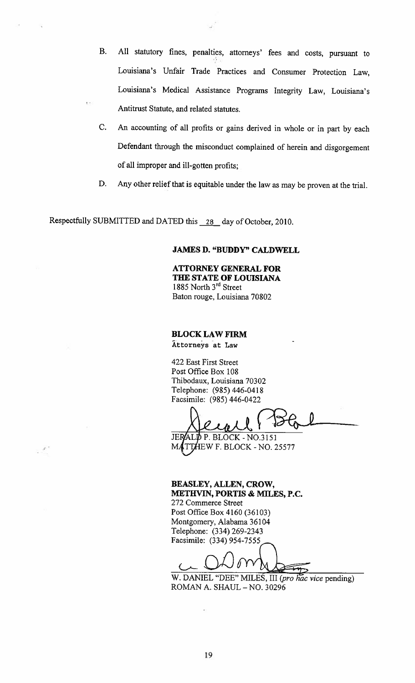- B, All statutory fines, penalties, attorneys' fees and costs, pursuant to Louisiana's Unfair Trade Practices and Consumer Protection Law, Louisiana's Medical Assistance Programs Integrity Law, Louisiana's Antitrust Statute, and related statutes.
- C. An accounting of all profits or gains derived in whole or in part by each Defendant through the misconduct complained of herein and disgorgement of all improper and ill-gotten profits;
- D. Any other relief that is equitable under the law as may be proven at the trial.

Respectfully SUBMITTED and DATED this 28 day of October, 2010.

 $\mathcal{P}^{\star}$ 

#### JAMES D. "BUDDY" CALDWELL

ATTORNEY GENERAL FOR THE STATE OF LOUISIANA 1885 North 3rd Street Baton rouge, Louisiana 70802

#### BLOCKLAW FIRM

Attorneys at Law

422 East First Street Post Office Box 108 Thibodaux, Louisiana 70302 Telephone: (985) 446-0418 Facsimile: (985) 446-0422

Kewel

JERALD P. BLOCK - NO.3151 MATTHEW F. BLOCK - NO. 25577

BEASLEY, ALLEN, CROW, METHVIN, PORTIS & MILES, P.C.

272 Commerce Street Post Office Box 4160 (36103) Montgomery, Alabama 36104 Telephone: (334) 269-2343 Facsimile: (334) 954-7555

W. DANIEL "DEE" MILES, III (pro hac vice pending) ROMAN A. SHAUL -NO. <sup>30296</sup>